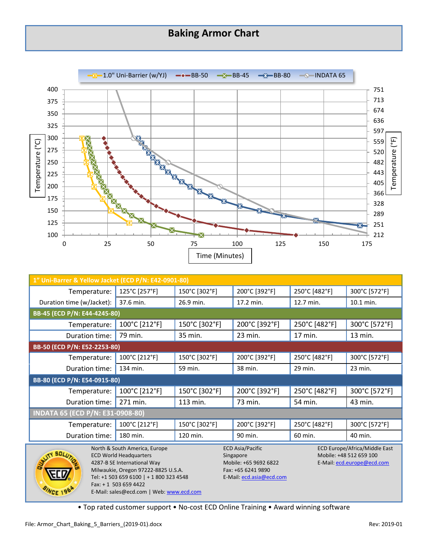## **Baking Armor Chart**



| 1" Uni-Barrer & Yellow Jacket (ECD P/N: E42-0901-80)                                                                                                                                                                                                   |               |               |                                                                                                                 |               |                                                                                               |  |  |
|--------------------------------------------------------------------------------------------------------------------------------------------------------------------------------------------------------------------------------------------------------|---------------|---------------|-----------------------------------------------------------------------------------------------------------------|---------------|-----------------------------------------------------------------------------------------------|--|--|
| Temperature:                                                                                                                                                                                                                                           | 125°C [257°F] | 150°C [302°F] | 200°C [392°F]                                                                                                   | 250°C [482°F] | 300°C [572°F]                                                                                 |  |  |
| Duration time (w/Jacket):                                                                                                                                                                                                                              | 37.6 min.     | 26.9 min.     | 17.2 min.                                                                                                       | 12.7 min.     | 10.1 min.                                                                                     |  |  |
| BB-45 (ECD P/N: E44-4245-80)                                                                                                                                                                                                                           |               |               |                                                                                                                 |               |                                                                                               |  |  |
| Temperature:                                                                                                                                                                                                                                           | 100°C [212°F] | 150°C [302°F] | 200°C [392°F]                                                                                                   | 250°C [482°F] | 300°C [572°F]                                                                                 |  |  |
| Duration time:                                                                                                                                                                                                                                         | 79 min.       | 35 min.       | 23 min.                                                                                                         | 17 min.       | 13 min.                                                                                       |  |  |
| BB-50 (ECD P/N: E52-2253-80)                                                                                                                                                                                                                           |               |               |                                                                                                                 |               |                                                                                               |  |  |
| Temperature:                                                                                                                                                                                                                                           | 100°C [212°F] | 150°C [302°F] | 200°C [392°F]                                                                                                   | 250°C [482°F] | 300°C [572°F]                                                                                 |  |  |
| Duration time:                                                                                                                                                                                                                                         | 134 min.      | 59 min.       | 38 min.                                                                                                         | 29 min.       | 23 min.                                                                                       |  |  |
| BB-80 (ECD P/N: E54-0915-80)                                                                                                                                                                                                                           |               |               |                                                                                                                 |               |                                                                                               |  |  |
| Temperature:                                                                                                                                                                                                                                           | 100°C [212°F] | 150°C [302°F] | 200°C [392°F]                                                                                                   | 250°C [482°F] | 300°C [572°F]                                                                                 |  |  |
| Duration time:                                                                                                                                                                                                                                         | 271 min.      | 113 min.      | 73 min.                                                                                                         | 54 min.       | 43 min.                                                                                       |  |  |
| INDATA 65 (ECD P/N: E31-0908-80)                                                                                                                                                                                                                       |               |               |                                                                                                                 |               |                                                                                               |  |  |
| Temperature:                                                                                                                                                                                                                                           | 100°C [212°F] | 150°C [302°F] | 200°C [392°F]                                                                                                   | 250°C [482°F] | 300°C [572°F]                                                                                 |  |  |
| Duration time:                                                                                                                                                                                                                                         | 180 min.      | 120 min.      | 90 min.                                                                                                         | 60 min.       | 40 min.                                                                                       |  |  |
| North & South America, Europe<br><b>ECD World Headquarters</b><br>4287-B SE International Way<br>Milwaukie, Oregon 97222-8825 U.S.A.<br>Tel: +1 503 659 6100   + 1 800 323 4548<br>$Fax: + 1$ 503 659 4422<br>E-Mail: sales@ecd.com   Web: www.ecd.com |               |               | <b>ECD Asia/Pacific</b><br>Singapore<br>Mobile: +65 9692 6822<br>Fax: +65 6241 9890<br>E-Mail: ecd.asia@ecd.com |               | <b>ECD Europe/Africa/Middle East</b><br>Mobile: +48 512 659 100<br>E-Mail: ecd.europe@ecd.com |  |  |

• Top rated customer support • No-cost ECD Online Training • Award winning software